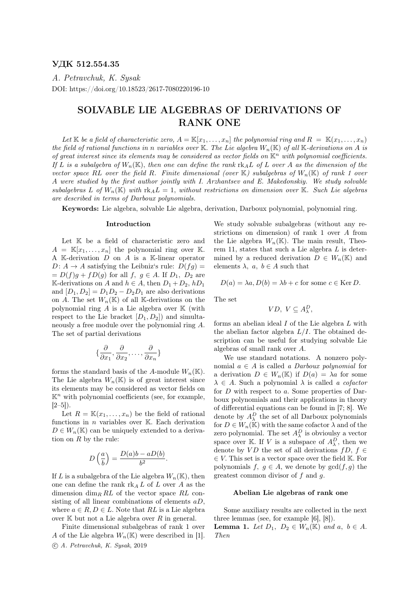### УДК 512.554.35

A. Petravchuk, K. Sysak DOI: https://doi.org/10.18523/2617-7080220196-10

# SOLVABLE LIE ALGEBRAS OF DERIVATIONS OF RANK ONE

Let K be a field of characteristic zero,  $A = \mathbb{K}[x_1, \ldots, x_n]$  the polynomial ring and  $R = \mathbb{K}(x_1, \ldots, x_n)$ the field of rational functions in n variables over K. The Lie algebra  $W_n(\mathbb{K})$  of all K-derivations on A is of great interest since its elements may be considered as vector fields on  $\mathbb{K}^n$  with polynomial coefficients. If L is a subalgebra of  $W_n(\mathbb{K})$ , then one can define the rank rk $_A L$  of L over A as the dimension of the vector space RL over the field R. Finite dimensional (over  $\mathbb{K}$ ) subalgebras of  $W_n(\mathbb{K})$  of rank 1 over A were studied by the first author jointly with I. Arzhantsev and E. Makedonskiy. We study solvable subalgebras L of  $W_n(\mathbb{K})$  with  $\mathrm{rk}_A L = 1$ , without restrictions on dimension over K. Such Lie algebras are described in terms of Darboux polynomials.

Keywords: Lie algebra, solvable Lie algebra, derivation, Darboux polynomial, polynomial ring.

#### Introduction

Let  $K$  be a field of characteristic zero and  $A = \mathbb{K}[x_1, \ldots, x_n]$  the polynomial ring over K. A K-derivation  $D$  on  $A$  is a K-linear operator  $D: A \rightarrow A$  satisfying the Leibniz's rule:  $D(fg) =$  $= D(f)g + fD(g)$  for all  $f, g \in A$ . If  $D_1, D_2$  are K-derivations on A and  $h \in A$ , then  $D_1 + D_2$ ,  $hD_1$ and  $[D_1, D_2] = D_1D_2 - D_2D_1$  are also derivations on A. The set  $W_n(\mathbb{K})$  of all K-derivations on the polynomial ring  $A$  is a Lie algebra over  $K$  (with respect to the Lie bracket  $[D_1, D_2]$  and simultaneously a free module over the polynomial ring A. The set of partial derivations

$$
\{\frac{\partial}{\partial x_1}, \frac{\partial}{\partial x_2}, \dots, \frac{\partial}{\partial x_n}\}
$$

forms the standard basis of the A-module  $W_n(\mathbb{K})$ . The Lie algebra  $W_n(\mathbb{K})$  is of great interest since its elements may be considered as vector fields on  $\mathbb{K}^n$  with polynomial coefficients (see, for example,  $[2-5]$ ).

Let  $R = \mathbb{K}(x_1, \ldots, x_n)$  be the field of rational functions in  $n$  variables over  $K$ . Each derivation  $D \in W_n(\mathbb{K})$  can be uniquely extended to a derivation on  $R$  by the rule:

$$
D\left(\frac{a}{b}\right) = \frac{D(a)b - aD(b)}{b^2}.
$$

If L is a subalgebra of the Lie algebra  $W_n(\mathbb{K})$ , then one can define the rank  $\text{rk}_A L$  of L over A as the dimension  $\dim_R RL$  of the vector space RL consisting of all linear combinations of elements  $aD$ , where  $a \in R$ ,  $D \in L$ . Note that RL is a Lie algebra over  $K$  but not a Lie algebra over  $R$  in general.

Finite dimensional subalgebras of rank 1 over A of the Lie algebra  $W_n(\mathbb{K})$  were described in [1]. c A. Petravchuk, K. Sysak, 2019

We study solvable subalgebras (without any restrictions on dimension) of rank 1 over A from the Lie algebra  $W_n(\mathbb{K})$ . The main result, Theorem 11, states that such a Lie algebra  $L$  is determined by a reduced derivation  $D \in W_n(\mathbb{K})$  and elements  $\lambda$ ,  $a, b \in A$  such that

$$
D(a) = \lambda a, D(b) = \lambda b + c
$$
 for some  $c \in \text{Ker } D$ .

The set

$$
VD, V \subseteq A^D_\lambda,
$$

forms an abelian ideal I of the Lie algebra L with the abelian factor algebra  $L/I$ . The obtained description can be useful for studying solvable Lie algebras of small rank over A.

We use standard notations. A nonzero polynomial  $a \in A$  is called a *Darboux polynomial* for a derivation  $D \in W_n(\mathbb{K})$  if  $D(a) = \lambda a$  for some  $\lambda \in A$ . Such a polynomial  $\lambda$  is called a cofactor for  $D$  with respect to  $a$ . Some properties of Darboux polynomials and their applications in theory of differential equations can be found in [7; 8]. We denote by  $A_{\lambda}^{D}$  the set of all Darboux polynomials for  $D \in W_n(\mathbb{K})$  with the same cofactor  $\lambda$  and of the zero polynomial. The set  $A_{\lambda}^{D}$  is obvioulsy a vector space over K. If V is a subspace of  $A_{\lambda}^D$ , then we denote by VD the set of all derivations  $fD, f \in$  $\in V$ . This set is a vector space over the field K. For polynomials f,  $g \in A$ , we denote by  $gcd(f, g)$  the greatest common divisor of  $f$  and  $g$ .

#### Abelian Lie algebras of rank one

Some auxiliary results are collected in the next three lemmas (see, for example [6], [8]). **Lemma 1.** Let  $D_1$ ,  $D_2 \in W_n(\mathbb{K})$  and  $a, b \in A$ . Then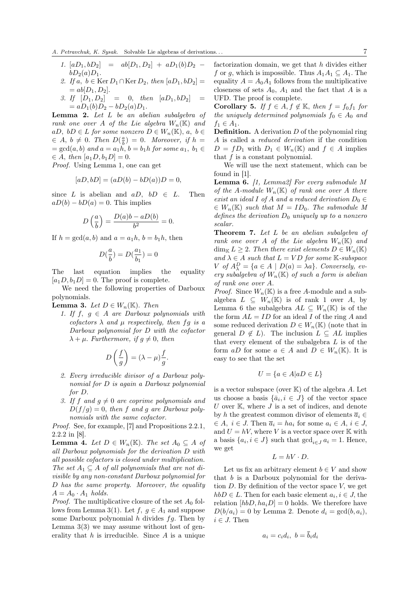- 1.  $[aD_1, bD_2] = ab[D_1, D_2] + aD_1(b)D_2$  −  $bD_2(a)D_1.$
- 2. If  $a, b \in \text{Ker } D_1 \cap \text{Ker } D_2$ , then  $[aD_1, bD_2] =$  $= ab[D_1, D_2].$
- 3. If  $[D_1, D_2] = 0$ , then  $[aD_1, bD_2] =$  $= aD_1(b)D_2 - bD_2(a)D_1.$

**Lemma 2.** Let  $L$  be an abelian subalgebra of rank one over A of the Lie algebra  $W_n(\mathbb{K})$  and aD,  $bD \in L$  for some nonzero  $D \in W_n(\mathbb{K})$ ,  $a, b \in$  $\in A, b \neq 0$ . Then  $D(\frac{a}{b}) = 0$ . Moreover, if  $h =$  $=\gcd(a, b)$  and  $a = a_1h$ ,  $b = b_1h$  for some  $a_1, b_1 \in$  $\in A$ , then  $[a_1D, b_1D] = 0$ .

Proof. Using Lemma 1, one can get

$$
[aD, bD] = (aD(b) - bD(a))D = 0,
$$

since L is abelian and  $aD$ ,  $bD \in L$ . Then  $aD(b) - bD(a) = 0$ . This implies

$$
D\left(\frac{a}{b}\right) = \frac{D(a)b - aD(b)}{b^2} = 0.
$$

If  $h = \gcd(a, b)$  and  $a = a_1h$ ,  $b = b_1h$ , then

$$
D(\frac{a}{b})=D(\frac{a_1}{b_1})=0
$$

The last equation implies the equality  $[a_1D, b_1D] = 0$ . The proof is complete.

We need the following properties of Darboux polynomials.

**Lemma 3.** Let  $D \in W_n(\mathbb{K})$ . Then

1. If  $f, g \in A$  are Darboux polynomials with cofactors  $\lambda$  and  $\mu$  respectively, then fg is a Darboux polynomial for D with the cofactor  $\lambda + \mu$ . Furthermore, if  $q \neq 0$ , then

$$
D\left(\frac{f}{g}\right) = (\lambda - \mu)\frac{f}{g}.
$$

- 2. Every irreducible divisor of a Darboux polynomial for D is again a Darboux polynomial for D.
- 3. If f and  $g \neq 0$  are coprime polynomials and  $D(f/g) = 0$ , then f and g are Darboux polynomials with the same cofactor.

Proof. See, for example, [7] and Propositions 2.2.1, 2.2.2 in [8].

**Lemma 4.** Let  $D \in W_n(\mathbb{K})$ . The set  $A_0 \subseteq A$  of all Darboux polynomials for the derivation D with all possible cofactors is closed under multiplication. The set  $A_1 \subseteq A$  of all polynomials that are not divisible by any non-constant Darboux polynomial for D has the same property. Moreover, the equality  $A = A_0 \cdot A_1$  holds.

*Proof.* The multiplicative closure of the set  $A_0$  follows from Lemma 3(1). Let  $f, g \in A_1$  and suppose some Darboux polynomial  $h$  divides  $fg$ . Then by Lemma  $3(3)$  we may assume without lost of generality that  $h$  is irreducible. Since  $A$  is a unique factorization domain, we get that  $h$  divides either f or g, which is impossible. Thus  $A_1A_1 \subseteq A_1$ . The equality  $A = A_0 A_1$  follows from the multiplicative closeness of sets  $A_0$ ,  $A_1$  and the fact that A is a UFD. The proof is complete.

Corollary 5. If  $f \in A, f \notin \mathbb{K}$ , then  $f = f_0 f_1$  for the uniquely determined polynomials  $f_0 \in A_0$  and  $f_1 \in A_1$ .

**Definition.** A derivation  $D$  of the polynomial ring A is called a reduced derivation if the condition  $D = fD_1$  with  $D_1 \in W_n(\mathbb{K})$  and  $f \in A$  implies that  $f$  is a constant polynomial.

We will use the next statement, which can be found in [1].

**Lemma 6.** [1, Lemma2] For every submodule  $M$ of the A-module  $W_n(\mathbb{K})$  of rank one over A there exist an ideal I of A and a reduced derivation  $D_0 \in$  $\in W_n(\mathbb{K})$  such that  $M = ID_0$ . The submodule M defines the derivation  $D_0$  uniquely up to a nonzero scalar.

Theorem 7. Let L be an abelian subalgebra of rank one over A of the Lie algebra  $W_n(\mathbb{K})$  and  $\dim_{\mathbb{K}} L \geq 2$ . Then there exist elements  $D \in W_n(\mathbb{K})$ and  $\lambda \in A$  such that  $L = V D$  for some K-subspace  $V$  of  $A_{\lambda}^{D} = \{a \in A \mid D(a) = \lambda a\}$ . Conversely, every subalgebra of  $W_n(\mathbb{K})$  of such a form is abelian of rank one over A.

*Proof.* Since  $W_n(\mathbb{K})$  is a free A-module and a subalgebra  $L \subseteq W_n(\mathbb{K})$  is of rank 1 over A, by Lemma 6 the subalgebra  $AL \subseteq W_n(\mathbb{K})$  is of the the form  $AL = ID$  for an ideal I of the ring A and some reduced derivation  $D \in W_n(\mathbb{K})$  (note that in general  $D \notin L$ ). The inclusion  $L \subseteq AL$  implies that every element of the subalgebra  $L$  is of the form aD for some  $a \in A$  and  $D \in W_n(\mathbb{K})$ . It is easy to see that the set

$$
U = \{ a \in A | aD \in L \}
$$

is a vector subspace (over  $K$ ) of the algebra A. Let us choose a basis  $\{\bar{a}_i, i \in J\}$  of the vector space U over  $K$ , where  $J$  is a set of indices, and denote by h the greatest common divisor of elements  $\overline{a}_i \in$  $\in A, i \in J$ . Then  $\overline{a_i} = ha_i$  for some  $a_i \in A, i \in J$ , and  $U = hV$ , where V is a vector space over K with a basis  $\{a_i, i \in J\}$  such that  $\gcd_{i \in J} a_i = 1$ . Hence, we get

$$
L = hV \cdot D.
$$

Let us fix an arbitrary element  $b \in V$  and show that  $b$  is a Darboux polynomial for the derivation  $D$ . By definition of the vector space  $V$ , we get  $hbD \in L$ . Then for each basic element  $a_i, i \in J$ , the relation  $[hbD, ha_iD] = 0$  holds. We therefore have  $D(b/a_i) = 0$  by Lemma 2. Denote  $d_i = \gcd(b, a_i)$ ,  $i \in J$ . Then

$$
a_i = c_i d_i, \ b = b_i d_i
$$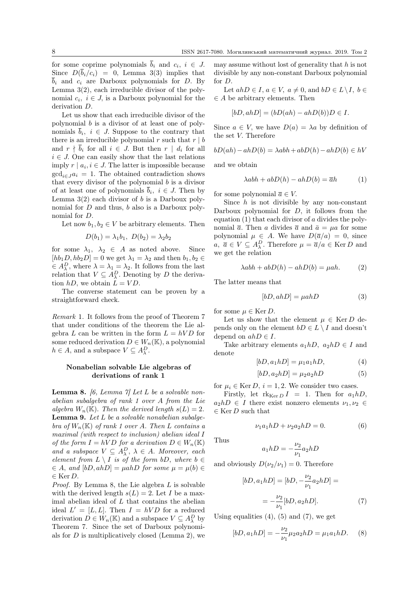for some coprime polynomials  $b_i$  and  $c_i$ ,  $i \in J$ . Since  $D(\bar{b}_i/c_i) = 0$ , Lemma 3(3) implies that  $\overline{b}_i$  and  $c_i$  are Darboux polynomials for D. By Lemma 3(2), each irreducible divisor of the polynomial  $c_i$ ,  $i \in J$ , is a Darboux polynomial for the derivation D.

Let us show that each irreducible divisor of the polynomial b is a divisor of at least one of polynomials  $b_i$ ,  $i \in J$ . Suppose to the contrary that there is an irreducible polynomial r such that  $r | b$ and  $r \nmid \overline{b}_i$  for all  $i \in J$ . But then  $r \mid d_i$  for all  $i \in J$ . One can easily show that the last relations imply  $r | a_i, i \in J$ . The latter is impossible because  $gcd_{i \in J} a_i = 1$ . The obtained contradiction shows that every divisor of the polynomial  $b$  is a divisor of at least one of polynomials  $\overline{b}_i$ ,  $i \in J$ . Then by Lemma  $3(2)$  each divisor of b is a Darboux polynomial for D and thus, b also is a Darboux polynomial for D.

Let now  $b_1, b_2 \in V$  be arbitrary elements. Then

$$
D(b_1) = \lambda_1 b_1, \ D(b_2) = \lambda_2 b_2
$$

for some  $\lambda_1, \lambda_2 \in A$  as noted above. Since  $[hb_1D, hb_2D] = 0$  we get  $\lambda_1 = \lambda_2$  and then  $b_1, b_2 \in$  $\in A_{\lambda}^{D}$ , where  $\lambda = \lambda_1 = \lambda_2$ . It follows from the last relation that  $V \subseteq A_{\lambda}^D$ . Denoting by D the derivation  $hD$ , we obtain  $\ddot{L} = VD$ .

The converse statement can be proven by a straightforward check.

Remark 1. It follows from the proof of Theorem 7 that under conditions of the theorem the Lie algebra L can be written in the form  $L = hVD$  for some reduced derivation  $D \in W_n(\mathbb{K})$ , a polynomial  $h \in A$ , and a subspace  $V \subseteq A_{\lambda}^{D}$ .

### Nonabelian solvable Lie algebras of derivations of rank 1

**Lemma 8.** [6, Lemma 7] Let L be a solvable nonabelian subalgebra of rank 1 over A from the Lie algebra  $W_n(\mathbb{K})$ . Then the derived length  $s(L) = 2$ . **Lemma 9.** Let  $L$  be a solvable nonabelian subalgebra of  $W_n(\mathbb{K})$  of rank 1 over A. Then L contains a maximal (with respect to inclusion) abelian ideal I of the form  $I = hVD$  for a derivation  $D \in W_n(\mathbb{K})$ and a subspace  $V \subseteq A_{\lambda}^D$ ,  $\lambda \in A$ . Moreover, each element from  $L \setminus I$  is of the form bD, where  $b \in$  $\in A$ , and  $[bD, ahD] = \mu ahD$  for some  $\mu = \mu(b) \in$  $\in$  Ker D.

Proof. By Lemma 8, the Lie algebra L is solvable with the derived length  $s(L) = 2$ . Let I be a maximal abelian ideal of  $L$  that contains the abelian ideal  $L' = [L, L]$ . Then  $I = hVD$  for a reduced derivation  $D \in W_n(\mathbb{K})$  and a subspace  $V \subseteq A_{\lambda}^D$  by Theorem 7. Since the set of Darboux polynomials for  $D$  is multiplicatively closed (Lemma 2), we may assume without lost of generality that  $h$  is not divisible by any non-constant Darboux polynomial for D.

Let  $ahD \in I$ ,  $a \in V$ ,  $a \neq 0$ , and  $bD \in L \backslash I$ ,  $b \in$  $\in$  A be arbitrary elements. Then

$$
[bD, ahD] = (bD(ah) - ahD(b))D \in I.
$$

Since  $a \in V$ , we have  $D(a) = \lambda a$  by definition of the set V. Therefore

$$
bD(ah) - ahD(b) = \lambda abh + abD(h) - ahD(b) \in hV
$$

and we obtain

$$
\lambda abh + abD(h) - ahD(b) = \overline{a}h \tag{1}
$$

for some polynomial  $\overline{a} \in V$ .

Since  $h$  is not divisible by any non-constant Darboux polynomial for  $D$ , it follows from the equation  $(1)$  that each divisor of a divides the polynomial  $\bar{a}$ . Then a divides  $\bar{a}$  and  $\bar{a} = \mu a$  for some polynomial  $\mu \in A$ . We have  $D(\overline{a}/a) = 0$ , since  $a, \bar{a} \in V \subseteq A_{\lambda}^D$ . Therefore  $\mu = \bar{a}/a \in \text{Ker } D$  and we get the relation

$$
\lambda abh + abD(h) - ahD(b) = \mu ah. \tag{2}
$$

The latter means that

$$
[bD, ahD] = \mu ahD \tag{3}
$$

for some  $\mu \in \text{Ker } D$ .

Let us show that the element  $\mu \in \text{Ker } D$  depends only on the element  $bD \in L \setminus I$  and doesn't depend on  $ahD \in I$ .

Take arbitrary elements  $a_1hD$ ,  $a_2hD \in I$  and denote

$$
[bD, a_1hD] = \mu_1 a_1 hD,\tag{4}
$$

$$
[bD, a_2hD] = \mu_2 a_2 hD \tag{5}
$$

for  $\mu_i \in \text{Ker } D, i = 1, 2$ . We consider two cases.

Firstly, let  $rk_{\text{Ker }D} I = 1$ . Then for  $a_1 hD$ ,  $a_2hD \in I$  there exist nonzero elements  $\nu_1, \nu_2 \in$  $\in$  Ker $D$  such that

$$
\nu_1 a_1 h D + \nu_2 a_2 h D = 0. \tag{6}
$$

Thus

$$
a_1hD = -\frac{\nu_2}{\nu_1}a_2hD
$$

and obviously  $D(\nu_2/\nu_1) = 0$ . Therefore

$$
[bD, a_1hD] = [bD, -\frac{\nu_2}{\nu_1}a_2hD] =
$$
  
= 
$$
-\frac{\nu_2}{\nu_1}[bD, a_2hD].
$$
 (7)

Using equalities  $(4)$ ,  $(5)$  and  $(7)$ , we get

$$
[bD, a_1hD] = -\frac{\nu_2}{\nu_1}\mu_2 a_2 hD = \mu_1 a_1 hD. \quad (8)
$$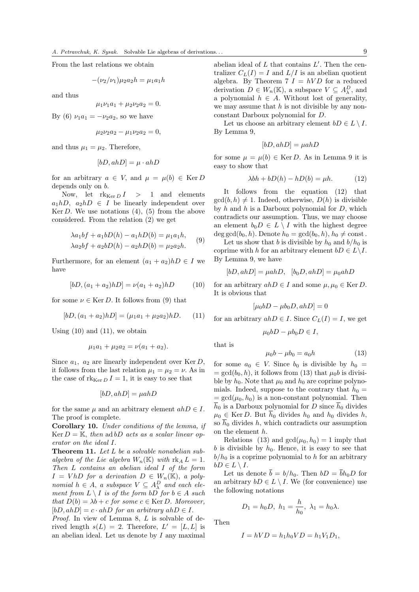From the last relations we obtain

$$
-(\nu_2/\nu_1)\mu_2 a_2 h = \mu_1 a_1 h
$$

and thus

$$
\mu_1 \nu_1 a_1 + \mu_2 \nu_2 a_2 = 0.
$$

By (6)  $\nu_1 a_1 = -\nu_2 a_2$ , so we have

$$
\mu_2 \nu_2 a_2 - \mu_1 \nu_2 a_2 = 0,
$$

and thus  $\mu_1 = \mu_2$ . Therefore,

$$
[bD, ahD] = \mu \cdot ahD
$$

for an arbitrary  $a \in V$ , and  $\mu = \mu(b) \in \text{Ker } D$ depends only on b.

Now, let  $rk_{\text{Ker }D} I > 1$  and elements  $a_1hD$ ,  $a_2hD \in I$  be linearly independent over Ker  $D$ . We use notations  $(4)$ ,  $(5)$  from the above considered. From the relation (2) we get

$$
\lambda a_1 b f + a_1 b D(h) - a_1 h D(b) = \mu_1 a_1 h,
$$
  
\n
$$
\lambda a_2 b f + a_2 b D(h) - a_2 h D(b) = \mu_2 a_2 h.
$$
 (9)

Furthermore, for an element  $(a_1 + a_2)hD \in I$  we have

$$
[bD, (a_1 + a_2)hD] = \nu(a_1 + a_2)hD \tag{10}
$$

for some  $\nu \in \text{Ker } D$ . It follows from (9) that

$$
[bD, (a_1 + a_2)hD] = (\mu_1 a_1 + \mu_2 a_2)hD. \tag{11}
$$

Using  $(10)$  and  $(11)$ , we obtain

$$
\mu_1 a_1 + \mu_2 a_2 = \nu(a_1 + a_2).
$$

Since  $a_1$ ,  $a_2$  are linearly independent over Ker D, it follows from the last relation  $\mu_1 = \mu_2 = \nu$ . As in the case of  $\text{rk}_{\text{Ker }D} I = 1$ , it is easy to see that

$$
[bD, ahD] = \mu ahD
$$

for the same  $\mu$  and an arbitrary element  $ahD \in I$ . The proof is complete.

Corollary 10. Under conditions of the lemma, if Ker  $D = \mathbb{K}$ , then ad bD acts as a scalar linear operator on the ideal I.

Theorem 11. Let L be a solvable nonabelian subalgebra of the Lie algebra  $W_n(\mathbb{K})$  with  $\text{rk}_A L = 1$ . Then L contains an abelian ideal I of the form  $I = V h D$  for a derivation  $D \in W_n(\mathbb{K})$ , a polynomial  $h \in A$ , a subspace  $V \subseteq A_{\lambda}^D$  and each element from  $L \setminus I$  is of the form bD for  $b \in A$  such that  $D(b) = \lambda b + c$  for some  $c \in \text{Ker } D$ . Moreover,  $[bD, ahD] = c \cdot ahD$  for an arbitrary  $ahD \in I$ .

Proof. In view of Lemma 8, L is solvable of derived length  $s(L) = 2$ . Therefore,  $L' = [L, L]$  is an abelian ideal. Let us denote by  $I$  any maximal

abelian ideal of  $L$  that contains  $L'$ . Then the centralizer  $C_L(I) = I$  and  $L/I$  is an abelian quotient algebra. By Theorem 7  $I = hVD$  for a reduced derivation  $D \in W_n(\mathbb{K})$ , a subspace  $V \subseteq A_{\lambda}^D$ , and a polynomial  $h \in A$ . Without lost of generality, we may assume that  $h$  is not divisible by any nonconstant Darboux polynomial for D.

Let us choose an arbitrary element  $bD \in L \setminus I$ . By Lemma 9,

$$
[bD, ahD] = \mu ahD
$$

for some  $\mu = \mu(b) \in \text{Ker } D$ . As in Lemma 9 it is easy to show that

$$
\lambda bh + bD(h) - hD(b) = \mu h. \tag{12}
$$

It follows from the equation (12) that  $gcd(b, h) \neq 1$ . Indeed, otherwise,  $D(h)$  is divisible by  $h$  and  $h$  is a Darboux polynomial for  $D$ , which contradicts our assumption. Thus, we may choose an element  $b_0D \in L \setminus I$  with the highest degree deg gcd $(b_0, h)$ . Denote  $h_0 = \gcd(b_0, h)$ ,  $h_0 \neq \text{const.}$ 

Let us show that b is divisible by  $h_0$  and  $b/h_0$  is coprime with h for an arbitrary element  $bD \in L \backslash I$ . By Lemma 9, we have

$$
[bD, ahD] = \mu ahD, [b_0D, ahD] = \mu_0ahD
$$

for an arbitrary  $ahD \in I$  and some  $\mu, \mu_0 \in \text{Ker } D$ . It is obvious that

$$
[\mu_0 bD - \mu b_0 D, a h D] = 0
$$

for an arbitrary  $ahD \in I$ . Since  $C_L(I) = I$ , we get

$$
\mu_0 b D - \mu b_0 D \in I,
$$

that is

$$
\mu_0 b - \mu b_0 = a_0 h \tag{13}
$$

for some  $a_0 \in V$ . Since  $b_0$  is divisible by  $h_0 =$  $=$  gcd( $b_0$ , h), it follows from (13) that  $\mu_0 b$  is divisible by  $h_0$ . Note that  $\mu_0$  and  $h_0$  are coprime polynomials. Indeed, suppose to the contrary that  $\dot{\bar{h}}_0 =$  $=$  gcd( $\mu_0$ ,  $h_0$ ) is a non-constant polynomial. Then  $\bar{h}_0$  is a Darboux polynomial for D since  $\bar{h}_0$  divides  $\mu_0 \in \text{Ker } D$ . But  $\overline{h}_0$  divides  $h_0$  and  $h_0$  divides  $h$ , so  $h_0$  divides h, which contradicts our assumption on the element h.

Relations (13) and  $gcd(\mu_0, h_0) = 1$  imply that  $b$  is divisible by  $h_0$ . Hence, it is easy to see that  $b/h_0$  is a coprime polynomial to h for an arbitrary  $bD \in L \setminus I$ .

Let us denote  $\bar{b} = b/h_0$ . Then  $bD = \bar{b}h_0D$  for an arbitrary  $bD \in L \setminus I$ . We (for convenience) use the following notations

$$
D_1 = h_0 D, h_1 = \frac{h}{h_0}, \lambda_1 = h_0 \lambda.
$$

Then

$$
I = hVD = h_1h_0VD = h_1V_1D_1,
$$